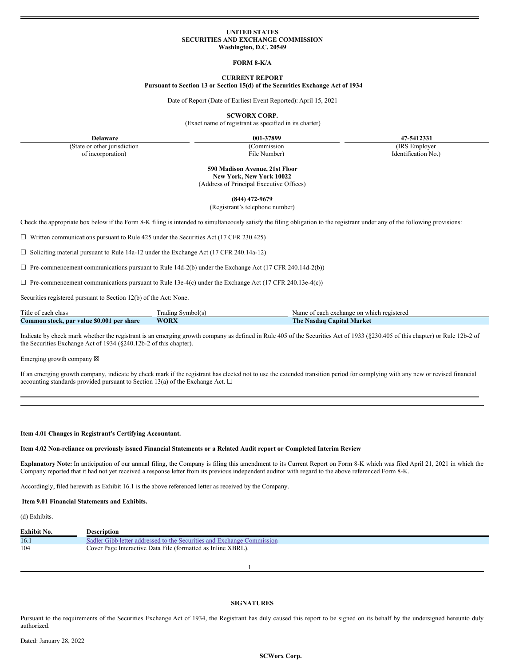## **UNITED STATES SECURITIES AND EXCHANGE COMMISSION Washington, D.C. 20549**

## **FORM 8-K/A**

# **CURRENT REPORT**

#### **Pursuant to Section 13 or Section 15(d) of the Securities Exchange Act of 1934**

Date of Report (Date of Earliest Event Reported): April 15, 2021

**SCWORX CORP.**

(Exact name of registrant as specified in its charter)

**Delaware 001-37899 47-5412331**

(State or other jurisdiction of incorporation)

(Commission File Number)

(IRS Employer Identification No.)

**590 Madison Avenue, 21st Floor New York, New York 10022** (Address of Principal Executive Offices)

**(844) 472-9679**

(Registrant's telephone number)

Check the appropriate box below if the Form 8-K filing is intended to simultaneously satisfy the filing obligation to the registrant under any of the following provisions:

 $\Box$  Written communications pursuant to Rule 425 under the Securities Act (17 CFR 230.425)

☐ Soliciting material pursuant to Rule 14a-12 under the Exchange Act (17 CFR 240.14a-12)

 $\Box$  Pre-commencement communications pursuant to Rule 14d-2(b) under the Exchange Act (17 CFR 240.14d-2(b))

 $\Box$  Pre-commencement communications pursuant to Rule 13e-4(c) under the Exchange Act (17 CFR 240.13e-4(c))

Securities registered pursuant to Section 12(b) of the Act: None.

| Title of each class                       | : Symbol(s)<br>radıng | Name of each exchange on which registered |
|-------------------------------------------|-----------------------|-------------------------------------------|
| Common stock, par value \$0.001 per share | <b>WORX</b>           | The 1<br>Nasdaq Capital Market            |

Indicate by check mark whether the registrant is an emerging growth company as defined in Rule 405 of the Securities Act of 1933 (§230.405 of this chapter) or Rule 12b-2 of the Securities Exchange Act of 1934 (§240.12b-2 of this chapter).

Emerging growth company  $\boxtimes$ 

If an emerging growth company, indicate by check mark if the registrant has elected not to use the extended transition period for complying with any new or revised financial accounting standards provided pursuant to Section 13(a) of the Exchange Act.  $\Box$ 

# **Item 4.01 Changes in Registrant's Certifying Accountant.**

# Item 4.02 Non-reliance on previously issued Financial Statements or a Related Audit report or Completed Interim Review

**Explanatory Note:** In anticipation of our annual filing, the Company is filing this amendment to its Current Report on Form 8-K which was filed April 21, 2021 in which the Company reported that it had not yet received a response letter from its previous independent auditor with regard to the above referenced Form 8-K.

Accordingly, filed herewith as Exhibit 16.1 is the above referenced letter as received by the Company.

## **Item 9.01 Financial Statements and Exhibits.**

(d) Exhibits.

| Exhibit No. | <b>Description</b>                                                     |
|-------------|------------------------------------------------------------------------|
| 16.1        | Sadler Gibb letter addressed to the Securities and Exchange Commission |
| 104         | Cover Page Interactive Data File (formatted as Inline XBRL).           |

1

#### **SIGNATURES**

Pursuant to the requirements of the Securities Exchange Act of 1934, the Registrant has duly caused this report to be signed on its behalf by the undersigned hereunto duly authorized.

#### **SCWorx Corp.**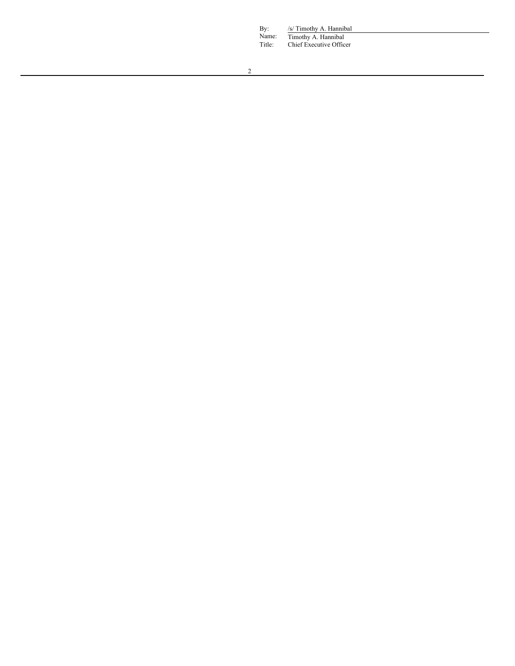By: /s/ Timothy A. Hannibal Name: Timothy A. Hannibal

Title: Chief Executive Officer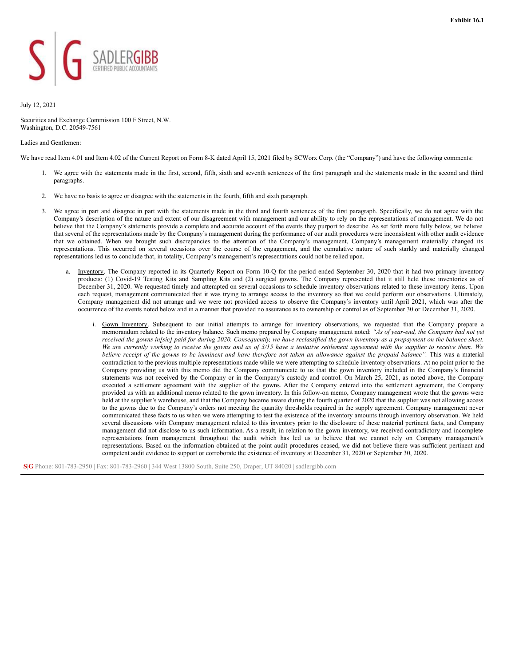<span id="page-2-0"></span>

# July 12, 2021

Securities and Exchange Commission 100 F Street, N.W. Washington, D.C. 20549-7561

#### Ladies and Gentlemen:

We have read Item 4.01 and Item 4.02 of the Current Report on Form 8-K dated April 15, 2021 filed by SCWorx Corp. (the "Company") and have the following comments:

- 1. We agree with the statements made in the first, second, fifth, sixth and seventh sentences of the first paragraph and the statements made in the second and third paragraphs.
- 2. We have no basis to agree or disagree with the statements in the fourth, fifth and sixth paragraph.
- 3. We agree in part and disagree in part with the statements made in the third and fourth sentences of the first paragraph. Specifically, we do not agree with the Company's description of the nature and extent of our disagreement with management and our ability to rely on the representations of management. We do not believe that the Company's statements provide a complete and accurate account of the events they purport to describe. As set forth more fully below, we believe that several of the representations made by the Company's management during the performance of our audit procedures were inconsistent with other audit evidence that we obtained. When we brought such discrepancies to the attention of the Company's management, Company's management materially changed its representations. This occurred on several occasions over the course of the engagement, and the cumulative nature of such starkly and materially changed representations led us to conclude that, in totality, Company's management's representations could not be relied upon.
	- a. Inventory. The Company reported in its Quarterly Report on Form 10-Q for the period ended September 30, 2020 that it had two primary inventory products: (1) Covid-19 Testing Kits and Sampling Kits and (2) surgical gowns. The Company represented that it still held these inventories as of December 31, 2020. We requested timely and attempted on several occasions to schedule inventory observations related to these inventory items. Upon each request, management communicated that it was trying to arrange access to the inventory so that we could perform our observations. Ultimately, Company management did not arrange and we were not provided access to observe the Company's inventory until April 2021, which was after the occurrence of the events noted below and in a manner that provided no assurance as to ownership or control as of September 30 or December 31, 2020.
		- i. Gown Inventory. Subsequent to our initial attempts to arrange for inventory observations, we requested that the Company prepare a memorandum related to the inventory balance. Such memo prepared by Company management noted: *"As of year-end, the Company had not yet* received the gowns infsic] paid for during 2020. Consequently, we have reclassified the gown inventory as a prepayment on the balance sheet. We are currently working to receive the gowns and as of 3/15 have a tentative settlement agreement with the supplier to receive them. We believe receipt of the gowns to be imminent and have therefore not taken an allowance against the prepaid balance". This was a material contradiction to the previous multiple representations made while we were attempting to schedule inventory observations. At no point prior to the Company providing us with this memo did the Company communicate to us that the gown inventory included in the Company's financial statements was not received by the Company or in the Company's custody and control. On March 25, 2021, as noted above, the Company executed a settlement agreement with the supplier of the gowns. After the Company entered into the settlement agreement, the Company provided us with an additional memo related to the gown inventory. In this follow-on memo, Company management wrote that the gowns were held at the supplier's warehouse, and that the Company became aware during the fourth quarter of 2020 that the supplier was not allowing access to the gowns due to the Company's orders not meeting the quantity thresholds required in the supply agreement. Company management never communicated these facts to us when we were attempting to test the existence of the inventory amounts through inventory observation. We held several discussions with Company management related to this inventory prior to the disclosure of these material pertinent facts, and Company management did not disclose to us such information. As a result, in relation to the gown inventory, we received contradictory and incomplete representations from management throughout the audit which has led us to believe that we cannot rely on Company management's representations. Based on the information obtained at the point audit procedures ceased, we did not believe there was sufficient pertinent and competent audit evidence to support or corroborate the existence of inventory at December 31, 2020 or September 30, 2020.

**S**|**G** Phone: 801-783-2950 | Fax: 801-783-2960 | 344 West 13800 South, Suite 250, Draper, UT 84020 | sadlergibb.com